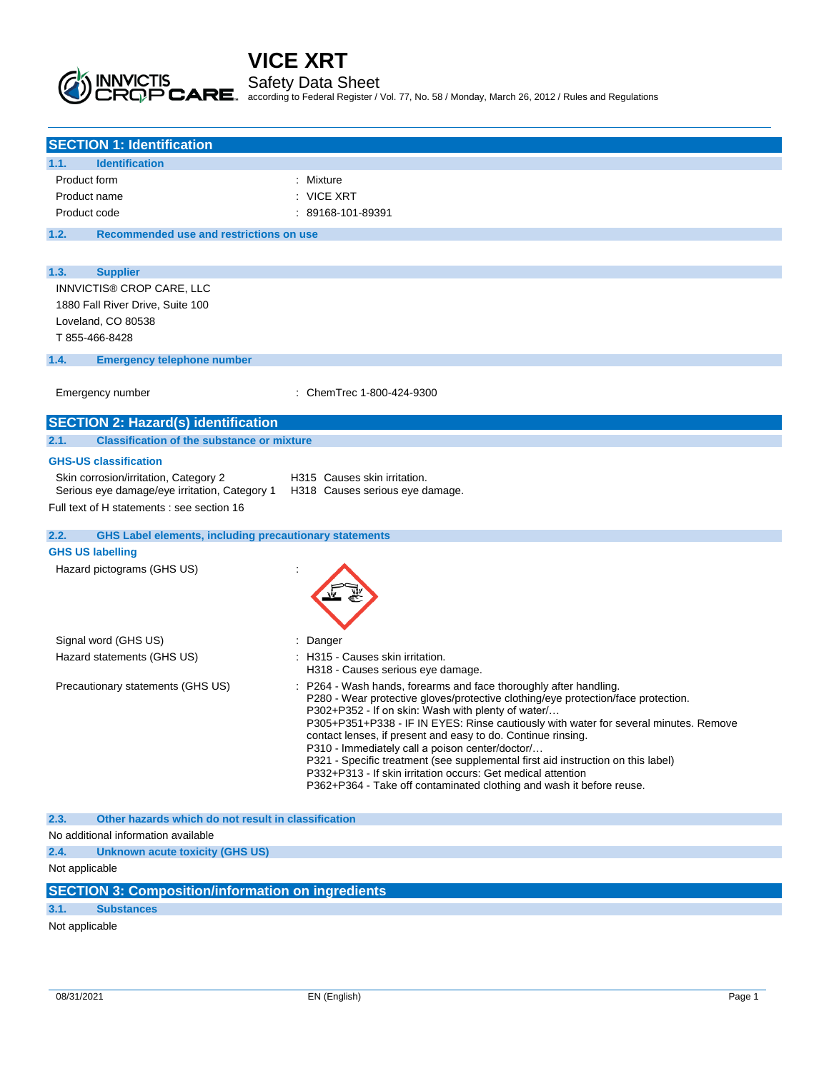Safety Data Sheet

according to Federal Register / Vol. 77, No. 58 / Monday, March 26, 2012 / Rules and Regulations

| <b>SECTION 1: Identification</b>                                                       |                                                                                                                                         |
|----------------------------------------------------------------------------------------|-----------------------------------------------------------------------------------------------------------------------------------------|
| <b>Identification</b><br>1.1.                                                          |                                                                                                                                         |
| Product form                                                                           | : Mixture                                                                                                                               |
| Product name                                                                           | : VICE XRT                                                                                                                              |
| Product code                                                                           | : 89168-101-89391                                                                                                                       |
| 1.2.<br>Recommended use and restrictions on use                                        |                                                                                                                                         |
|                                                                                        |                                                                                                                                         |
| 1.3.<br><b>Supplier</b>                                                                |                                                                                                                                         |
| INNVICTIS® CROP CARE, LLC                                                              |                                                                                                                                         |
| 1880 Fall River Drive, Suite 100                                                       |                                                                                                                                         |
| Loveland, CO 80538                                                                     |                                                                                                                                         |
| T 855-466-8428                                                                         |                                                                                                                                         |
| <b>Emergency telephone number</b><br>1.4.                                              |                                                                                                                                         |
|                                                                                        |                                                                                                                                         |
| Emergency number                                                                       | : ChemTrec 1-800-424-9300                                                                                                               |
| <b>SECTION 2: Hazard(s) identification</b>                                             |                                                                                                                                         |
| 2.1.<br><b>Classification of the substance or mixture</b>                              |                                                                                                                                         |
| <b>GHS-US classification</b>                                                           |                                                                                                                                         |
| Skin corrosion/irritation, Category 2<br>Serious eye damage/eye irritation, Category 1 | H315 Causes skin irritation.<br>H318 Causes serious eye damage.                                                                         |
| Full text of H statements : see section 16                                             |                                                                                                                                         |
|                                                                                        |                                                                                                                                         |
| 2.2.<br><b>GHS Label elements, including precautionary statements</b>                  |                                                                                                                                         |
| <b>GHS US labelling</b>                                                                |                                                                                                                                         |
| Hazard pictograms (GHS US)                                                             |                                                                                                                                         |
| Signal word (GHS US)                                                                   | Danger                                                                                                                                  |
| Hazard statements (GHS US)                                                             | H315 - Causes skin irritation.                                                                                                          |
|                                                                                        | H318 - Causes serious eye damage.                                                                                                       |
| Precautionary statements (GHS US)                                                      | P264 - Wash hands, forearms and face thoroughly after handling.                                                                         |
|                                                                                        | P280 - Wear protective gloves/protective clothing/eye protection/face protection.<br>P302+P352 - If on skin: Wash with plenty of water/ |
|                                                                                        | P305+P351+P338 - IF IN EYES: Rinse cautiously with water for several minutes. Remove                                                    |
|                                                                                        | contact lenses, if present and easy to do. Continue rinsing.<br>P310 - Immediately call a poison center/doctor/                         |
|                                                                                        | P321 - Specific treatment (see supplemental first aid instruction on this label)                                                        |
|                                                                                        | P332+P313 - If skin irritation occurs: Get medical attention                                                                            |
|                                                                                        | P362+P364 - Take off contaminated clothing and wash it before reuse.                                                                    |
| 2.3.<br>Other hazards which do not result in classification                            |                                                                                                                                         |
| No additional information available                                                    |                                                                                                                                         |
| 2.4.<br>Unknown acute toxicity (GHS US)                                                |                                                                                                                                         |
| Not applicable                                                                         |                                                                                                                                         |
| <b>SECTION 3: Composition/information on ingredients</b>                               |                                                                                                                                         |
| 3.1.<br><b>Substances</b>                                                              |                                                                                                                                         |

Not applicable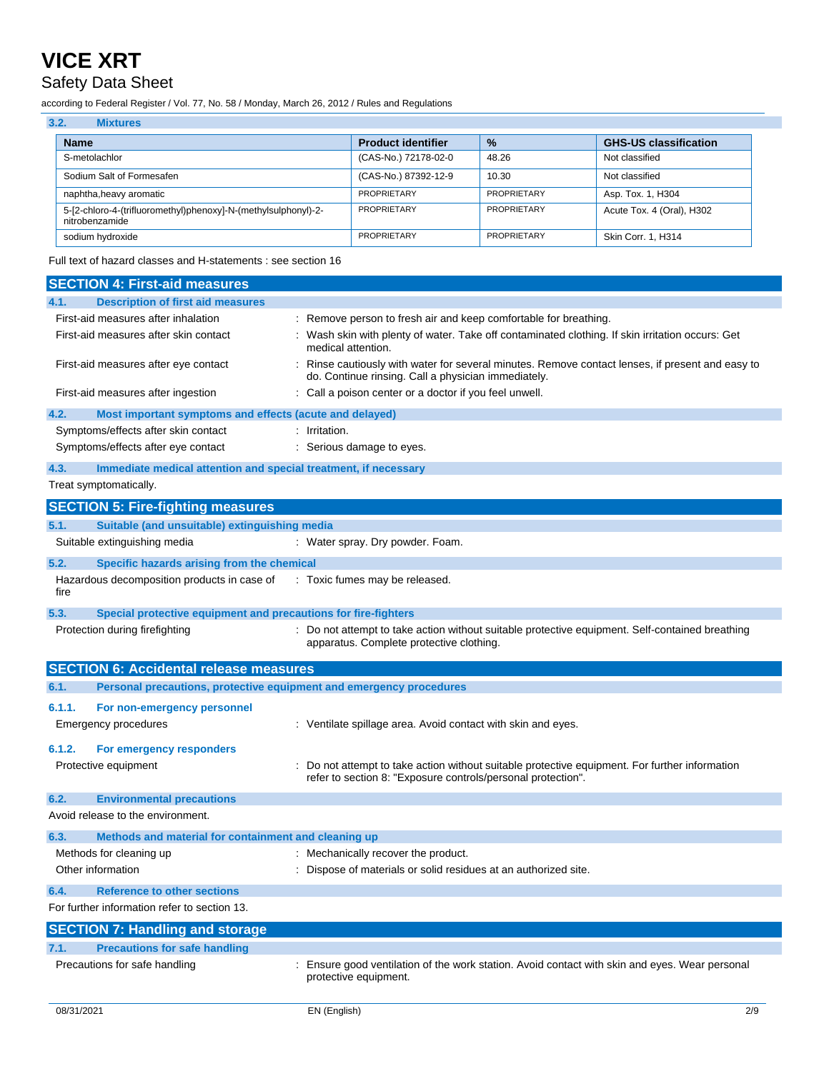## Safety Data Sheet

according to Federal Register / Vol. 77, No. 58 / Monday, March 26, 2012 / Rules and Regulations

| 3.2.<br><b>Mixtures</b>                                                          |                           |               |                              |
|----------------------------------------------------------------------------------|---------------------------|---------------|------------------------------|
| <b>Name</b>                                                                      | <b>Product identifier</b> | $\frac{0}{2}$ | <b>GHS-US classification</b> |
| S-metolachlor                                                                    | (CAS-No.) 72178-02-0      | 48.26         | Not classified               |
| Sodium Salt of Formesafen                                                        | (CAS-No.) 87392-12-9      | 10.30         | Not classified               |
| naphtha, heavy aromatic                                                          | <b>PROPRIETARY</b>        | PROPRIETARY   | Asp. Tox. 1, H304            |
| 5-[2-chloro-4-(trifluoromethyl)phenoxy]-N-(methylsulphonyl)-2-<br>nitrobenzamide | <b>PROPRIETARY</b>        | PROPRIETARY   | Acute Tox. 4 (Oral), H302    |
| sodium hydroxide                                                                 | <b>PROPRIETARY</b>        | PROPRIETARY   | Skin Corr. 1, H314           |

Full text of hazard classes and H-statements : see section 16

| <b>SECTION 4: First-aid measures</b>                                        |                                                                                                                                                              |
|-----------------------------------------------------------------------------|--------------------------------------------------------------------------------------------------------------------------------------------------------------|
| <b>Description of first aid measures</b><br>4.1.                            |                                                                                                                                                              |
| First-aid measures after inhalation                                         | Remove person to fresh air and keep comfortable for breathing.                                                                                               |
| First-aid measures after skin contact                                       | Wash skin with plenty of water. Take off contaminated clothing. If skin irritation occurs: Get<br>medical attention.                                         |
| First-aid measures after eye contact                                        | Rinse cautiously with water for several minutes. Remove contact lenses, if present and easy to<br>do. Continue rinsing. Call a physician immediately.        |
| First-aid measures after ingestion                                          | : Call a poison center or a doctor if you feel unwell.                                                                                                       |
| 4.2.<br>Most important symptoms and effects (acute and delayed)             |                                                                                                                                                              |
| Symptoms/effects after skin contact                                         | : Irritation.                                                                                                                                                |
| Symptoms/effects after eye contact                                          | : Serious damage to eyes.                                                                                                                                    |
| 4.3.<br>Immediate medical attention and special treatment, if necessary     |                                                                                                                                                              |
| Treat symptomatically.                                                      |                                                                                                                                                              |
| <b>SECTION 5: Fire-fighting measures</b>                                    |                                                                                                                                                              |
| 5.1.<br>Suitable (and unsuitable) extinguishing media                       |                                                                                                                                                              |
| Suitable extinguishing media                                                | : Water spray. Dry powder. Foam.                                                                                                                             |
| 5.2.<br>Specific hazards arising from the chemical                          |                                                                                                                                                              |
| Hazardous decomposition products in case of<br>fire                         | : Toxic fumes may be released.                                                                                                                               |
| 5.3.<br>Special protective equipment and precautions for fire-fighters      |                                                                                                                                                              |
| Protection during firefighting                                              | : Do not attempt to take action without suitable protective equipment. Self-contained breathing<br>apparatus. Complete protective clothing.                  |
| <b>SECTION 6: Accidental release measures</b>                               |                                                                                                                                                              |
| Personal precautions, protective equipment and emergency procedures<br>6.1. |                                                                                                                                                              |
| 6.1.1.<br>For non-emergency personnel                                       |                                                                                                                                                              |
| <b>Emergency procedures</b>                                                 | : Ventilate spillage area. Avoid contact with skin and eyes.                                                                                                 |
| 6.1.2.<br>For emergency responders                                          |                                                                                                                                                              |
| Protective equipment                                                        | Do not attempt to take action without suitable protective equipment. For further information<br>refer to section 8: "Exposure controls/personal protection". |
| 6.2.<br><b>Environmental precautions</b>                                    |                                                                                                                                                              |
| Avoid release to the environment.                                           |                                                                                                                                                              |
| 6.3.<br>Methods and material for containment and cleaning up                |                                                                                                                                                              |
| Methods for cleaning up                                                     | Mechanically recover the product.                                                                                                                            |
| Other information                                                           | Dispose of materials or solid residues at an authorized site.                                                                                                |
| 6.4.<br><b>Reference to other sections</b>                                  |                                                                                                                                                              |
| For further information refer to section 13.                                |                                                                                                                                                              |
| <b>SECTION 7: Handling and storage</b>                                      |                                                                                                                                                              |
| <b>Precautions for safe handling</b><br>7.1.                                |                                                                                                                                                              |
| Precautions for safe handling                                               | : Ensure good ventilation of the work station. Avoid contact with skin and eyes. Wear personal<br>protective equipment.                                      |
|                                                                             |                                                                                                                                                              |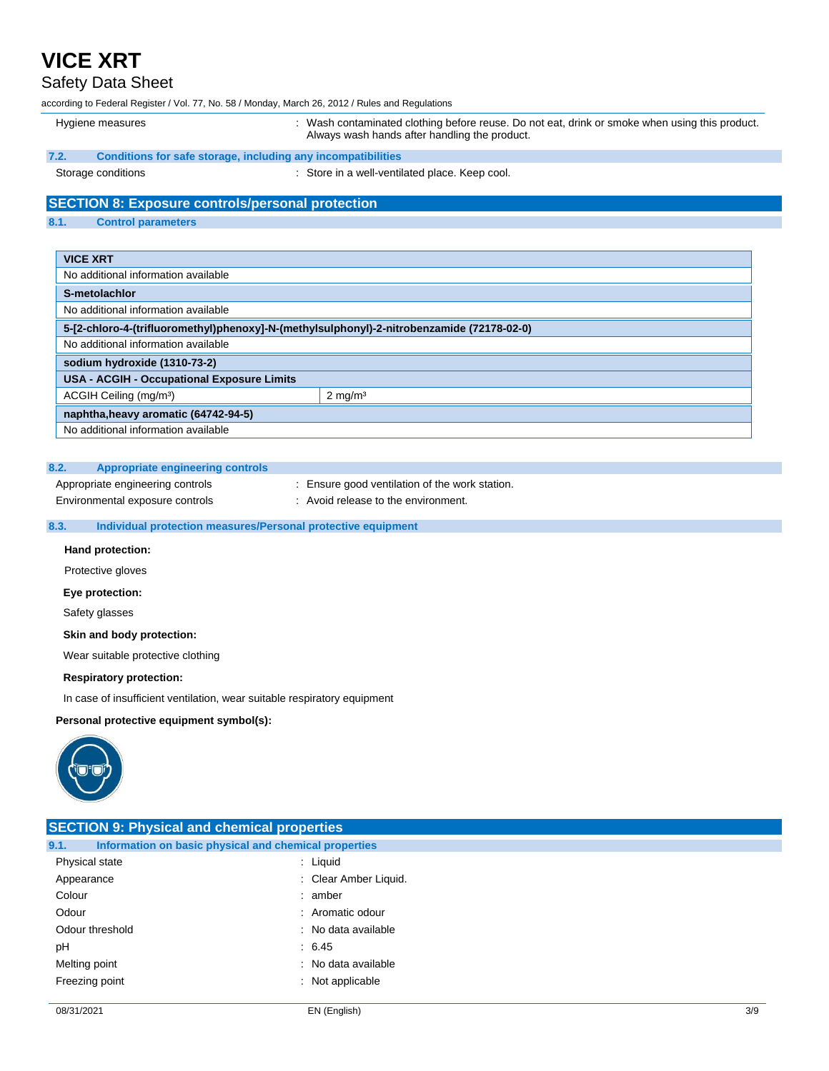### Safety Data Sheet

according to Federal Register / Vol. 77, No. 58 / Monday, March 26, 2012 / Rules and Regulations

### Hygiene measures **interpretatal contaminated clothing before reuse**. Do not eat, drink or smoke when using this product. Always wash hands after handling the product. **7.2. Conditions for safe storage, including any incompatibilities** Storage conditions **Storage conditions** : Store in a well-ventilated place. Keep cool. **SECTION 8: Exposure controls/personal protection 8.1. Control parameters VICE XRT** No additional information available **S-metolachlor** No additional information available **5-[2-chloro-4-(trifluoromethyl)phenoxy]-N-(methylsulphonyl)-2-nitrobenzamide (72178-02-0)** No additional information available **sodium hydroxide (1310-73-2) USA - ACGIH - Occupational Exposure Limits** ACGIH Ceiling (mg/m<sup>3</sup>) 2 mg/m<sup>3</sup> **naphtha,heavy aromatic (64742-94-5)** No additional information available

#### **8.2. Appropriate engineering controls**

Appropriate engineering controls : Ensure good ventilation of the work station.

Environmental exposure controls : Avoid release to the environment.

#### **8.3. Individual protection measures/Personal protective equipment**

#### **Hand protection:**

Protective gloves

#### **Eye protection:**

Safety glasses

#### **Skin and body protection:**

Wear suitable protective clothing

#### **Respiratory protection:**

In case of insufficient ventilation, wear suitable respiratory equipment

#### **Personal protective equipment symbol(s):**



| <b>SECTION 9: Physical and chemical properties</b> |                                                       |     |
|----------------------------------------------------|-------------------------------------------------------|-----|
| 9.1.                                               | Information on basic physical and chemical properties |     |
| Physical state                                     | : Liquid                                              |     |
| Appearance                                         | : Clear Amber Liquid.                                 |     |
| Colour                                             | : amber                                               |     |
| Odour                                              | : Aromatic odour                                      |     |
| Odour threshold                                    | : No data available                                   |     |
| pH                                                 | : 6.45                                                |     |
| Melting point                                      | : No data available                                   |     |
| Freezing point                                     | : Not applicable                                      |     |
| 08/31/2021                                         | EN (English)                                          | 3/9 |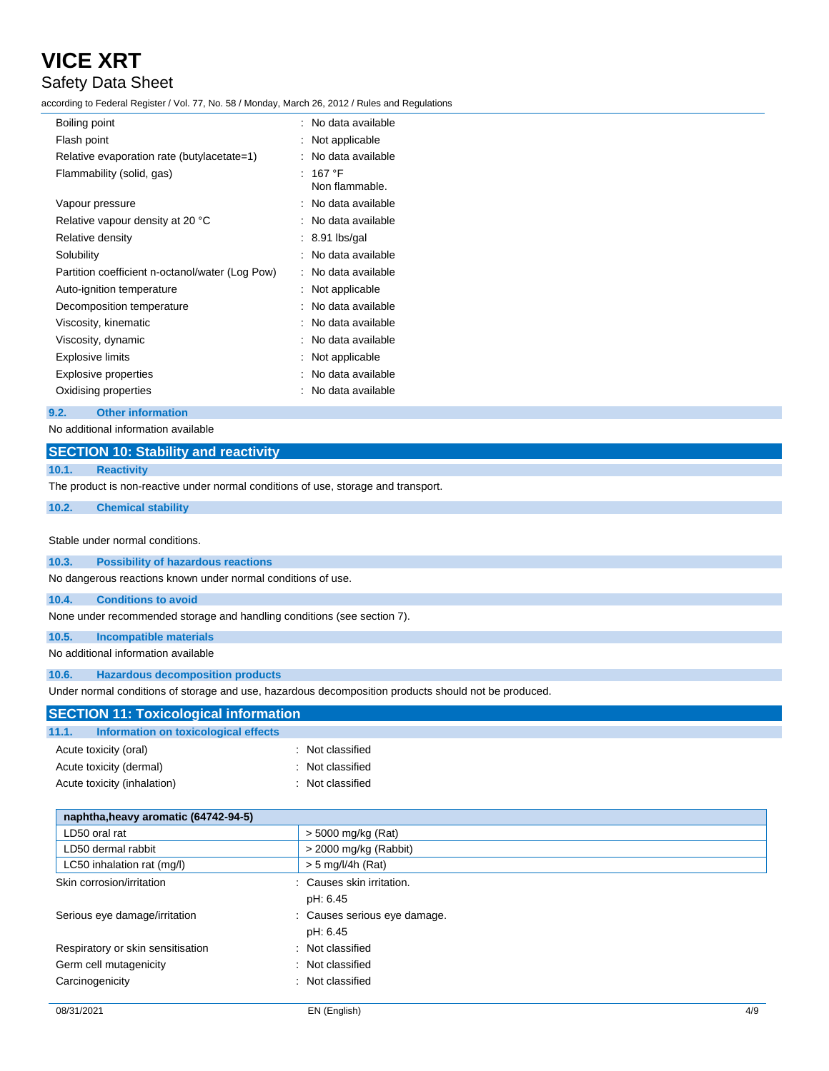### Safety Data Sheet

according to Federal Register / Vol. 77, No. 58 / Monday, March 26, 2012 / Rules and Regulations

| Boiling point                                   | : No data available               |
|-------------------------------------------------|-----------------------------------|
| Flash point                                     | Not applicable                    |
| Relative evaporation rate (butylacetate=1)      | No data available                 |
| Flammability (solid, gas)                       | 167 $\degree$ F<br>Non flammable. |
| Vapour pressure                                 | : No data available               |
| Relative vapour density at 20 °C                | No data available                 |
| Relative density                                | $: 8.91$ lbs/gal                  |
| Solubility                                      | No data available                 |
| Partition coefficient n-octanol/water (Log Pow) | No data available                 |
| Auto-ignition temperature                       | Not applicable                    |
| Decomposition temperature                       | No data available                 |
| Viscosity, kinematic                            | No data available                 |
| Viscosity, dynamic                              | No data available                 |
| <b>Explosive limits</b>                         | Not applicable                    |
| Explosive properties                            | No data available                 |
| Oxidising properties                            | No data available                 |
|                                                 |                                   |

#### **9.2. Other information**

| No additional information available                                                |                                                                                                      |  |
|------------------------------------------------------------------------------------|------------------------------------------------------------------------------------------------------|--|
| <b>SECTION 10: Stability and reactivity</b>                                        |                                                                                                      |  |
| <b>Reactivity</b><br>10.1.                                                         |                                                                                                      |  |
| The product is non-reactive under normal conditions of use, storage and transport. |                                                                                                      |  |
| 10.2.<br><b>Chemical stability</b>                                                 |                                                                                                      |  |
|                                                                                    |                                                                                                      |  |
| Stable under normal conditions.                                                    |                                                                                                      |  |
| 10.3.<br><b>Possibility of hazardous reactions</b>                                 |                                                                                                      |  |
| No dangerous reactions known under normal conditions of use.                       |                                                                                                      |  |
| <b>Conditions to avoid</b><br>10.4.                                                |                                                                                                      |  |
| None under recommended storage and handling conditions (see section 7).            |                                                                                                      |  |
| 10.5.<br><b>Incompatible materials</b>                                             |                                                                                                      |  |
| No additional information available                                                |                                                                                                      |  |
| 10.6.<br><b>Hazardous decomposition products</b>                                   |                                                                                                      |  |
|                                                                                    | Under normal conditions of storage and use, hazardous decomposition products should not be produced. |  |
| <b>SECTION 11: Toxicological information</b>                                       |                                                                                                      |  |
| <b>Information on toxicological effects</b><br>11.1.                               |                                                                                                      |  |
| Acute toxicity (oral)                                                              | Not classified                                                                                       |  |
| Acute toxicity (dermal)                                                            | Not classified                                                                                       |  |
| Acute toxicity (inhalation)                                                        | Not classified                                                                                       |  |
|                                                                                    |                                                                                                      |  |
| naphtha, heavy aromatic (64742-94-5)                                               |                                                                                                      |  |
| LD50 oral rat                                                                      | > 5000 mg/kg (Rat)                                                                                   |  |
| LD50 dermal rabbit                                                                 | > 2000 mg/kg (Rabbit)                                                                                |  |
| LC50 inhalation rat (mg/l)                                                         | $> 5$ mg/l/4h (Rat)                                                                                  |  |
| Skin corrosion/irritation                                                          | Causes skin irritation.                                                                              |  |
|                                                                                    | pH: 6.45                                                                                             |  |
| Serious eye damage/irritation                                                      | Causes serious eye damage.                                                                           |  |
|                                                                                    | pH: 6.45                                                                                             |  |
| Respiratory or skin sensitisation                                                  | Not classified                                                                                       |  |
| Germ cell mutagenicity                                                             | Not classified                                                                                       |  |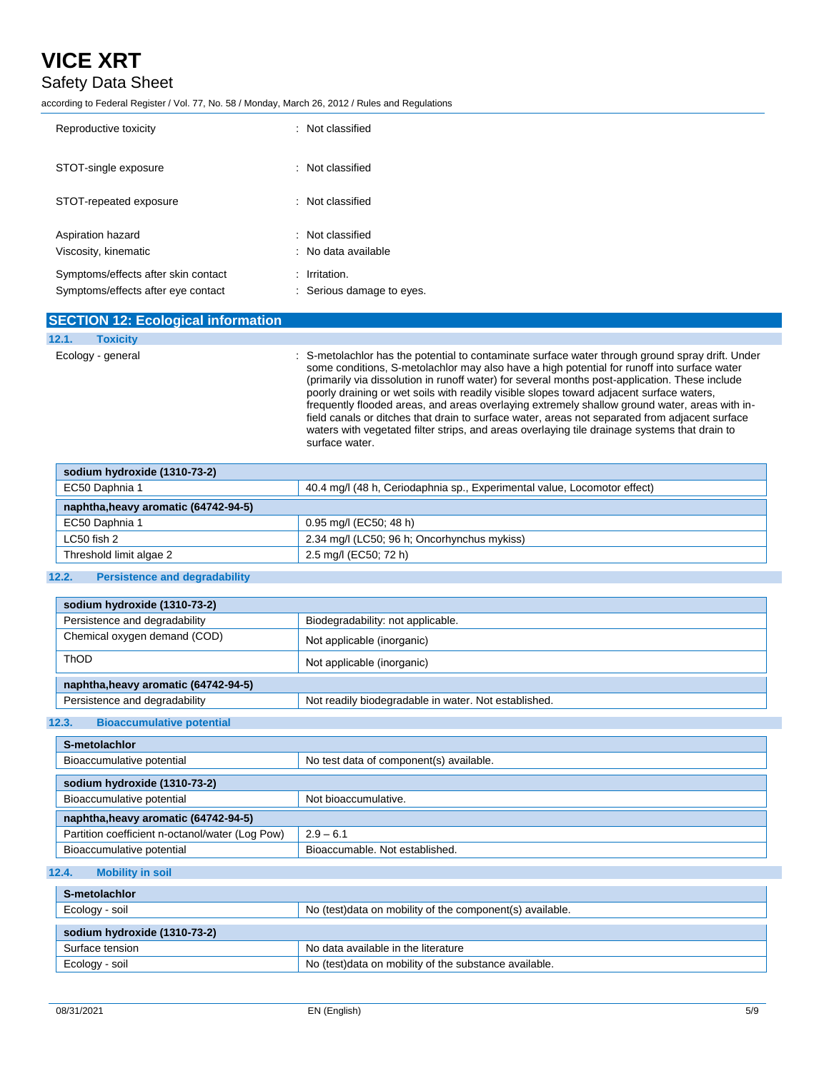### Safety Data Sheet

according to Federal Register / Vol. 77, No. 58 / Monday, March 26, 2012 / Rules and Regulations

| Reproductive toxicity                                                     | $\therefore$ Not classified                        |
|---------------------------------------------------------------------------|----------------------------------------------------|
| STOT-single exposure                                                      | $\therefore$ Not classified                        |
| STOT-repeated exposure                                                    | : Not classified                                   |
| Aspiration hazard<br>Viscosity, kinematic                                 | : Not classified<br>$\therefore$ No data available |
| Symptoms/effects after skin contact<br>Symptoms/effects after eye contact | $:$ Irritation.<br>: Serious damage to eyes.       |

#### **SECTION 12: Ecological information 12.1. Toxicity**

Ecology - general **interpretatal contaminate** surface water through ground spray drift. Under some conditions, S-metolachlor may also have a high potential for runoff into surface water (primarily via dissolution in runoff water) for several months post-application. These include poorly draining or wet soils with readily visible slopes toward adjacent surface waters, frequently flooded areas, and areas overlaying extremely shallow ground water, areas with infield canals or ditches that drain to surface water, areas not separated from adjacent surface waters with vegetated filter strips, and areas overlaying tile drainage systems that drain to surface water.

| sodium hydroxide (1310-73-2)         |                                                                          |  |
|--------------------------------------|--------------------------------------------------------------------------|--|
| EC50 Daphnia 1                       | 40.4 mg/l (48 h, Ceriodaphnia sp., Experimental value, Locomotor effect) |  |
| naphtha, heavy aromatic (64742-94-5) |                                                                          |  |
| EC50 Daphnia 1                       | 0.95 mg/l (EC50; 48 h)                                                   |  |
| LC50 fish 2                          | 2.34 mg/l (LC50; 96 h; Oncorhynchus mykiss)                              |  |
| Threshold limit algae 2              | 2.5 mg/l (EC50; 72 h)                                                    |  |

#### **12.2. Persistence and degradability**

| sodium hydroxide (1310-73-2)         |                                                      |  |
|--------------------------------------|------------------------------------------------------|--|
| Persistence and degradability        | Biodegradability: not applicable.                    |  |
| Chemical oxygen demand (COD)         | Not applicable (inorganic)                           |  |
| ThOD                                 | Not applicable (inorganic)                           |  |
| naphtha, heavy aromatic (64742-94-5) |                                                      |  |
| Persistence and degradability        | Not readily biodegradable in water. Not established. |  |

#### **12.3. Bioaccumulative potential**

| S-metolachlor                                   |                                         |  |
|-------------------------------------------------|-----------------------------------------|--|
| Bioaccumulative potential                       | No test data of component(s) available. |  |
| sodium hydroxide (1310-73-2)                    |                                         |  |
| Bioaccumulative potential                       | Not bioaccumulative.                    |  |
| naphtha, heavy aromatic (64742-94-5)            |                                         |  |
| Partition coefficient n-octanol/water (Log Pow) | $2.9 - 6.1$                             |  |
| Bioaccumulative potential                       | Bioaccumable, Not established.          |  |

#### **12.4. Mobility in soil**

| S-metolachlor                |                                                            |  |
|------------------------------|------------------------------------------------------------|--|
| Ecology - soil               | No (test) data on mobility of the component (s) available. |  |
| sodium hydroxide (1310-73-2) |                                                            |  |
| Surface tension              | No data available in the literature                        |  |
| Ecology - soil               | No (test) data on mobility of the substance available.     |  |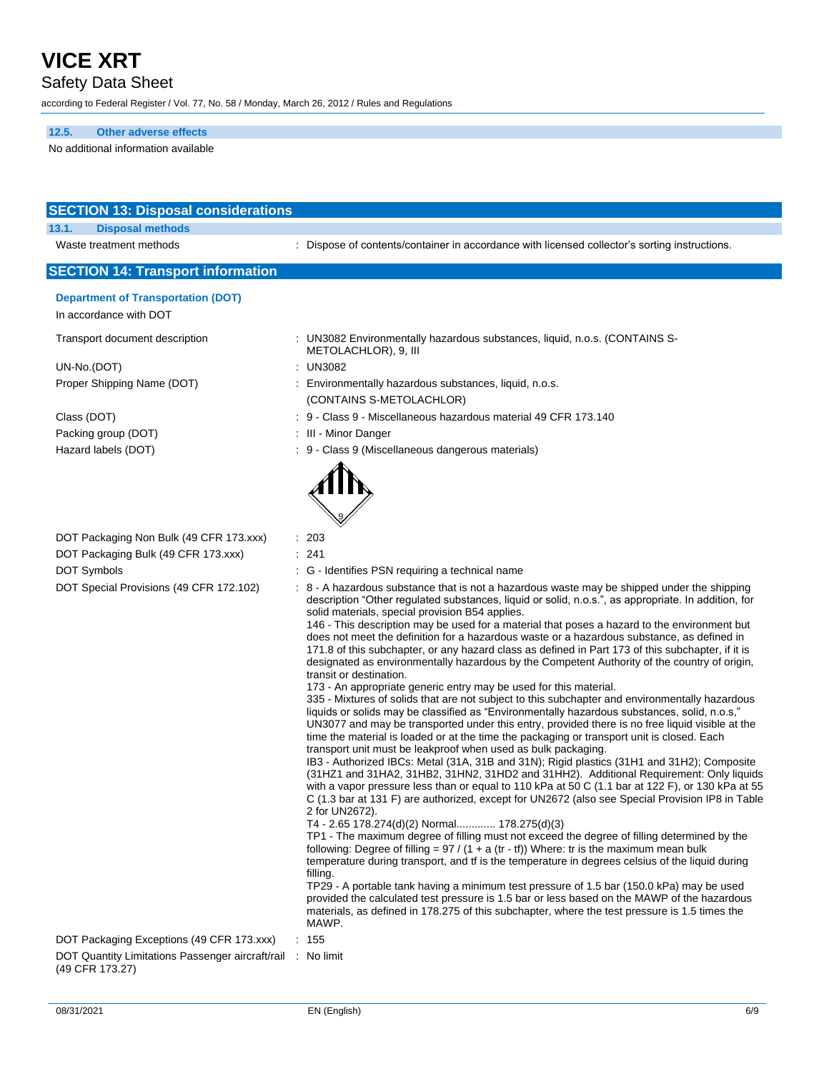Safety Data Sheet

according to Federal Register / Vol. 77, No. 58 / Monday, March 26, 2012 / Rules and Regulations

**12.5. Other adverse effects**

No additional information available

| <b>SECTION 13: Disposal considerations</b>                          |                                                                                                                                                                                                                                                                                                                                                                                                                                                                                                                                                                                                                                                                                                                                                                                                                                                                                                                                                                                                                                                                                                                                                                                                                                                                                                                                                                                                                                                                                                                                                                                                                                                                                                                                                                                                                                                                                                                                                                                                                                                                                                                                                                                                                                                                                                                |
|---------------------------------------------------------------------|----------------------------------------------------------------------------------------------------------------------------------------------------------------------------------------------------------------------------------------------------------------------------------------------------------------------------------------------------------------------------------------------------------------------------------------------------------------------------------------------------------------------------------------------------------------------------------------------------------------------------------------------------------------------------------------------------------------------------------------------------------------------------------------------------------------------------------------------------------------------------------------------------------------------------------------------------------------------------------------------------------------------------------------------------------------------------------------------------------------------------------------------------------------------------------------------------------------------------------------------------------------------------------------------------------------------------------------------------------------------------------------------------------------------------------------------------------------------------------------------------------------------------------------------------------------------------------------------------------------------------------------------------------------------------------------------------------------------------------------------------------------------------------------------------------------------------------------------------------------------------------------------------------------------------------------------------------------------------------------------------------------------------------------------------------------------------------------------------------------------------------------------------------------------------------------------------------------------------------------------------------------------------------------------------------------|
| 13.1.<br><b>Disposal methods</b>                                    |                                                                                                                                                                                                                                                                                                                                                                                                                                                                                                                                                                                                                                                                                                                                                                                                                                                                                                                                                                                                                                                                                                                                                                                                                                                                                                                                                                                                                                                                                                                                                                                                                                                                                                                                                                                                                                                                                                                                                                                                                                                                                                                                                                                                                                                                                                                |
| Waste treatment methods                                             | : Dispose of contents/container in accordance with licensed collector's sorting instructions.                                                                                                                                                                                                                                                                                                                                                                                                                                                                                                                                                                                                                                                                                                                                                                                                                                                                                                                                                                                                                                                                                                                                                                                                                                                                                                                                                                                                                                                                                                                                                                                                                                                                                                                                                                                                                                                                                                                                                                                                                                                                                                                                                                                                                  |
| <b>SECTION 14: Transport information</b>                            |                                                                                                                                                                                                                                                                                                                                                                                                                                                                                                                                                                                                                                                                                                                                                                                                                                                                                                                                                                                                                                                                                                                                                                                                                                                                                                                                                                                                                                                                                                                                                                                                                                                                                                                                                                                                                                                                                                                                                                                                                                                                                                                                                                                                                                                                                                                |
| <b>Department of Transportation (DOT)</b><br>In accordance with DOT |                                                                                                                                                                                                                                                                                                                                                                                                                                                                                                                                                                                                                                                                                                                                                                                                                                                                                                                                                                                                                                                                                                                                                                                                                                                                                                                                                                                                                                                                                                                                                                                                                                                                                                                                                                                                                                                                                                                                                                                                                                                                                                                                                                                                                                                                                                                |
| Transport document description                                      | : UN3082 Environmentally hazardous substances, liquid, n.o.s. (CONTAINS S-<br>METOLACHLOR), 9, III                                                                                                                                                                                                                                                                                                                                                                                                                                                                                                                                                                                                                                                                                                                                                                                                                                                                                                                                                                                                                                                                                                                                                                                                                                                                                                                                                                                                                                                                                                                                                                                                                                                                                                                                                                                                                                                                                                                                                                                                                                                                                                                                                                                                             |
| UN-No.(DOT)                                                         | : UN3082                                                                                                                                                                                                                                                                                                                                                                                                                                                                                                                                                                                                                                                                                                                                                                                                                                                                                                                                                                                                                                                                                                                                                                                                                                                                                                                                                                                                                                                                                                                                                                                                                                                                                                                                                                                                                                                                                                                                                                                                                                                                                                                                                                                                                                                                                                       |
| Proper Shipping Name (DOT)                                          | : Environmentally hazardous substances, liquid, n.o.s.                                                                                                                                                                                                                                                                                                                                                                                                                                                                                                                                                                                                                                                                                                                                                                                                                                                                                                                                                                                                                                                                                                                                                                                                                                                                                                                                                                                                                                                                                                                                                                                                                                                                                                                                                                                                                                                                                                                                                                                                                                                                                                                                                                                                                                                         |
|                                                                     | (CONTAINS S-METOLACHLOR)                                                                                                                                                                                                                                                                                                                                                                                                                                                                                                                                                                                                                                                                                                                                                                                                                                                                                                                                                                                                                                                                                                                                                                                                                                                                                                                                                                                                                                                                                                                                                                                                                                                                                                                                                                                                                                                                                                                                                                                                                                                                                                                                                                                                                                                                                       |
| Class (DOT)                                                         | : 9 - Class 9 - Miscellaneous hazardous material 49 CFR 173.140                                                                                                                                                                                                                                                                                                                                                                                                                                                                                                                                                                                                                                                                                                                                                                                                                                                                                                                                                                                                                                                                                                                                                                                                                                                                                                                                                                                                                                                                                                                                                                                                                                                                                                                                                                                                                                                                                                                                                                                                                                                                                                                                                                                                                                                |
| Packing group (DOT)                                                 | : III - Minor Danger                                                                                                                                                                                                                                                                                                                                                                                                                                                                                                                                                                                                                                                                                                                                                                                                                                                                                                                                                                                                                                                                                                                                                                                                                                                                                                                                                                                                                                                                                                                                                                                                                                                                                                                                                                                                                                                                                                                                                                                                                                                                                                                                                                                                                                                                                           |
| Hazard labels (DOT)                                                 | : 9 - Class 9 (Miscellaneous dangerous materials)                                                                                                                                                                                                                                                                                                                                                                                                                                                                                                                                                                                                                                                                                                                                                                                                                                                                                                                                                                                                                                                                                                                                                                                                                                                                                                                                                                                                                                                                                                                                                                                                                                                                                                                                                                                                                                                                                                                                                                                                                                                                                                                                                                                                                                                              |
|                                                                     |                                                                                                                                                                                                                                                                                                                                                                                                                                                                                                                                                                                                                                                                                                                                                                                                                                                                                                                                                                                                                                                                                                                                                                                                                                                                                                                                                                                                                                                                                                                                                                                                                                                                                                                                                                                                                                                                                                                                                                                                                                                                                                                                                                                                                                                                                                                |
| DOT Packaging Non Bulk (49 CFR 173.xxx)                             | : 203                                                                                                                                                                                                                                                                                                                                                                                                                                                                                                                                                                                                                                                                                                                                                                                                                                                                                                                                                                                                                                                                                                                                                                                                                                                                                                                                                                                                                                                                                                                                                                                                                                                                                                                                                                                                                                                                                                                                                                                                                                                                                                                                                                                                                                                                                                          |
| DOT Packaging Bulk (49 CFR 173.xxx)                                 | : 241                                                                                                                                                                                                                                                                                                                                                                                                                                                                                                                                                                                                                                                                                                                                                                                                                                                                                                                                                                                                                                                                                                                                                                                                                                                                                                                                                                                                                                                                                                                                                                                                                                                                                                                                                                                                                                                                                                                                                                                                                                                                                                                                                                                                                                                                                                          |
| DOT Symbols                                                         | : G - Identifies PSN requiring a technical name                                                                                                                                                                                                                                                                                                                                                                                                                                                                                                                                                                                                                                                                                                                                                                                                                                                                                                                                                                                                                                                                                                                                                                                                                                                                                                                                                                                                                                                                                                                                                                                                                                                                                                                                                                                                                                                                                                                                                                                                                                                                                                                                                                                                                                                                |
| DOT Special Provisions (49 CFR 172.102)                             | : 8 - A hazardous substance that is not a hazardous waste may be shipped under the shipping<br>description "Other regulated substances, liquid or solid, n.o.s.", as appropriate. In addition, for<br>solid materials, special provision B54 applies.<br>146 - This description may be used for a material that poses a hazard to the environment but<br>does not meet the definition for a hazardous waste or a hazardous substance, as defined in<br>171.8 of this subchapter, or any hazard class as defined in Part 173 of this subchapter, if it is<br>designated as environmentally hazardous by the Competent Authority of the country of origin,<br>transit or destination.<br>173 - An appropriate generic entry may be used for this material.<br>335 - Mixtures of solids that are not subject to this subchapter and environmentally hazardous<br>liquids or solids may be classified as "Environmentally hazardous substances, solid, n.o.s,"<br>UN3077 and may be transported under this entry, provided there is no free liquid visible at the<br>time the material is loaded or at the time the packaging or transport unit is closed. Each<br>transport unit must be leakproof when used as bulk packaging.<br>IB3 - Authorized IBCs: Metal (31A, 31B and 31N); Rigid plastics (31H1 and 31H2); Composite<br>(31HZ1 and 31HA2, 31HB2, 31HN2, 31HD2 and 31HH2). Additional Requirement: Only liquids<br>with a vapor pressure less than or equal to 110 kPa at 50 C (1.1 bar at 122 F), or 130 kPa at 55<br>C (1.3 bar at 131 F) are authorized, except for UN2672 (also see Special Provision IP8 in Table<br>2 for UN2672).<br>T4 - 2.65 178.274(d)(2) Normal 178.275(d)(3)<br>TP1 - The maximum degree of filling must not exceed the degree of filling determined by the<br>following: Degree of filling = $97 / (1 + a (tr - tf))$ Where: tr is the maximum mean bulk<br>temperature during transport, and if is the temperature in degrees celsius of the liquid during<br>filling.<br>TP29 - A portable tank having a minimum test pressure of 1.5 bar (150.0 kPa) may be used<br>provided the calculated test pressure is 1.5 bar or less based on the MAWP of the hazardous<br>materials, as defined in 178.275 of this subchapter, where the test pressure is 1.5 times the<br>MAWP. |
| DOT Packaging Exceptions (49 CFR 173.xxx)                           | : 155                                                                                                                                                                                                                                                                                                                                                                                                                                                                                                                                                                                                                                                                                                                                                                                                                                                                                                                                                                                                                                                                                                                                                                                                                                                                                                                                                                                                                                                                                                                                                                                                                                                                                                                                                                                                                                                                                                                                                                                                                                                                                                                                                                                                                                                                                                          |
| DOT Quantity Limitations Passenger aircraft/rail<br>(49 CFR 173.27) | : No limit                                                                                                                                                                                                                                                                                                                                                                                                                                                                                                                                                                                                                                                                                                                                                                                                                                                                                                                                                                                                                                                                                                                                                                                                                                                                                                                                                                                                                                                                                                                                                                                                                                                                                                                                                                                                                                                                                                                                                                                                                                                                                                                                                                                                                                                                                                     |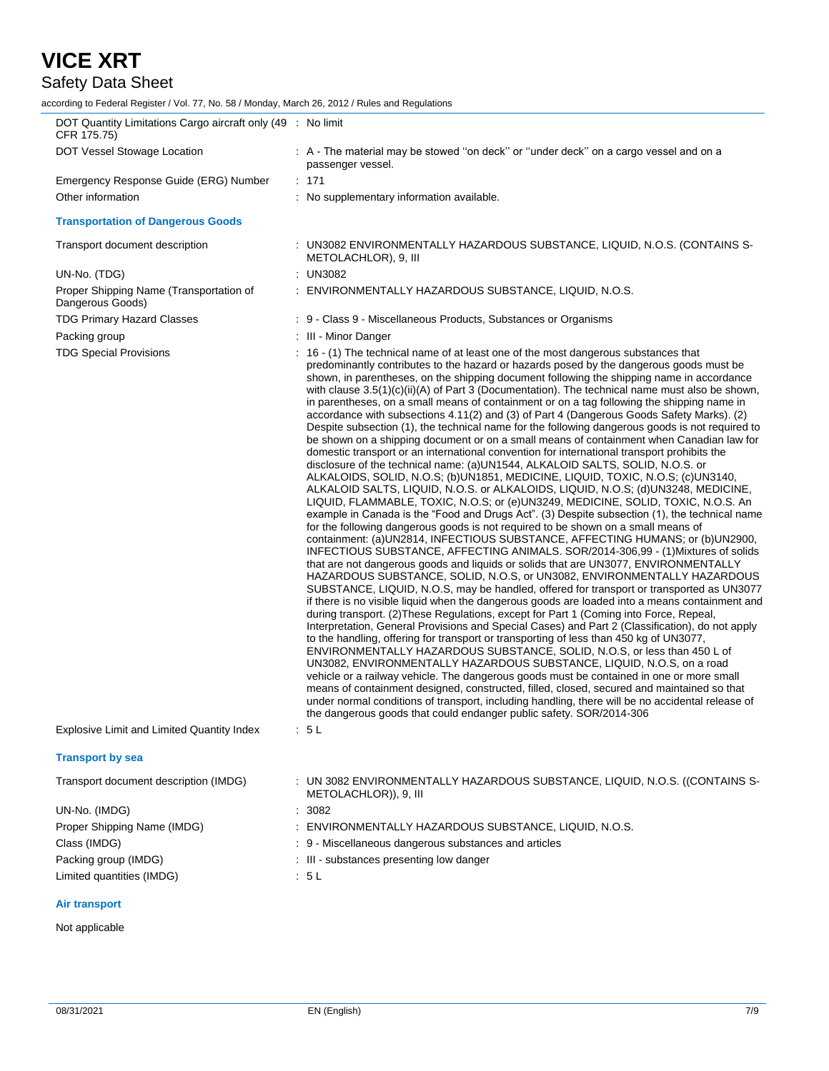## Safety Data Sheet

according to Federal Register / Vol. 77, No. 58 / Monday, March 26, 2012 / Rules and Regulations

| DOT Quantity Limitations Cargo aircraft only (49 : No limit<br>CFR 175.75) |                                                                                                                                                                                                                                                                                                                                                                                                                                                                                                                                                                                                                                                                                                                                                                                                                                                                                                                                                                                                                                                                                                                                                                                                                                                                                                                                                                                                                                                                                                                                                                                                                                                                                                                                                                                                                                                                                                                                                                                                                                                                                                                                                                                                                                                                                                                                                                                                                                                                                                                                                                                                                                                                                                                                                               |
|----------------------------------------------------------------------------|---------------------------------------------------------------------------------------------------------------------------------------------------------------------------------------------------------------------------------------------------------------------------------------------------------------------------------------------------------------------------------------------------------------------------------------------------------------------------------------------------------------------------------------------------------------------------------------------------------------------------------------------------------------------------------------------------------------------------------------------------------------------------------------------------------------------------------------------------------------------------------------------------------------------------------------------------------------------------------------------------------------------------------------------------------------------------------------------------------------------------------------------------------------------------------------------------------------------------------------------------------------------------------------------------------------------------------------------------------------------------------------------------------------------------------------------------------------------------------------------------------------------------------------------------------------------------------------------------------------------------------------------------------------------------------------------------------------------------------------------------------------------------------------------------------------------------------------------------------------------------------------------------------------------------------------------------------------------------------------------------------------------------------------------------------------------------------------------------------------------------------------------------------------------------------------------------------------------------------------------------------------------------------------------------------------------------------------------------------------------------------------------------------------------------------------------------------------------------------------------------------------------------------------------------------------------------------------------------------------------------------------------------------------------------------------------------------------------------------------------------------------|
| DOT Vessel Stowage Location                                                | : A - The material may be stowed "on deck" or "under deck" on a cargo vessel and on a<br>passenger vessel.                                                                                                                                                                                                                                                                                                                                                                                                                                                                                                                                                                                                                                                                                                                                                                                                                                                                                                                                                                                                                                                                                                                                                                                                                                                                                                                                                                                                                                                                                                                                                                                                                                                                                                                                                                                                                                                                                                                                                                                                                                                                                                                                                                                                                                                                                                                                                                                                                                                                                                                                                                                                                                                    |
| Emergency Response Guide (ERG) Number                                      | : 171                                                                                                                                                                                                                                                                                                                                                                                                                                                                                                                                                                                                                                                                                                                                                                                                                                                                                                                                                                                                                                                                                                                                                                                                                                                                                                                                                                                                                                                                                                                                                                                                                                                                                                                                                                                                                                                                                                                                                                                                                                                                                                                                                                                                                                                                                                                                                                                                                                                                                                                                                                                                                                                                                                                                                         |
| Other information                                                          | : No supplementary information available.                                                                                                                                                                                                                                                                                                                                                                                                                                                                                                                                                                                                                                                                                                                                                                                                                                                                                                                                                                                                                                                                                                                                                                                                                                                                                                                                                                                                                                                                                                                                                                                                                                                                                                                                                                                                                                                                                                                                                                                                                                                                                                                                                                                                                                                                                                                                                                                                                                                                                                                                                                                                                                                                                                                     |
| <b>Transportation of Dangerous Goods</b>                                   |                                                                                                                                                                                                                                                                                                                                                                                                                                                                                                                                                                                                                                                                                                                                                                                                                                                                                                                                                                                                                                                                                                                                                                                                                                                                                                                                                                                                                                                                                                                                                                                                                                                                                                                                                                                                                                                                                                                                                                                                                                                                                                                                                                                                                                                                                                                                                                                                                                                                                                                                                                                                                                                                                                                                                               |
| Transport document description                                             | : UN3082 ENVIRONMENTALLY HAZARDOUS SUBSTANCE, LIQUID, N.O.S. (CONTAINS S-<br>METOLACHLOR), 9, III                                                                                                                                                                                                                                                                                                                                                                                                                                                                                                                                                                                                                                                                                                                                                                                                                                                                                                                                                                                                                                                                                                                                                                                                                                                                                                                                                                                                                                                                                                                                                                                                                                                                                                                                                                                                                                                                                                                                                                                                                                                                                                                                                                                                                                                                                                                                                                                                                                                                                                                                                                                                                                                             |
| UN-No. (TDG)                                                               | : UN3082                                                                                                                                                                                                                                                                                                                                                                                                                                                                                                                                                                                                                                                                                                                                                                                                                                                                                                                                                                                                                                                                                                                                                                                                                                                                                                                                                                                                                                                                                                                                                                                                                                                                                                                                                                                                                                                                                                                                                                                                                                                                                                                                                                                                                                                                                                                                                                                                                                                                                                                                                                                                                                                                                                                                                      |
| Proper Shipping Name (Transportation of<br>Dangerous Goods)                | : ENVIRONMENTALLY HAZARDOUS SUBSTANCE, LIQUID, N.O.S.                                                                                                                                                                                                                                                                                                                                                                                                                                                                                                                                                                                                                                                                                                                                                                                                                                                                                                                                                                                                                                                                                                                                                                                                                                                                                                                                                                                                                                                                                                                                                                                                                                                                                                                                                                                                                                                                                                                                                                                                                                                                                                                                                                                                                                                                                                                                                                                                                                                                                                                                                                                                                                                                                                         |
| <b>TDG Primary Hazard Classes</b>                                          | : 9 - Class 9 - Miscellaneous Products, Substances or Organisms                                                                                                                                                                                                                                                                                                                                                                                                                                                                                                                                                                                                                                                                                                                                                                                                                                                                                                                                                                                                                                                                                                                                                                                                                                                                                                                                                                                                                                                                                                                                                                                                                                                                                                                                                                                                                                                                                                                                                                                                                                                                                                                                                                                                                                                                                                                                                                                                                                                                                                                                                                                                                                                                                               |
| Packing group                                                              | : III - Minor Danger                                                                                                                                                                                                                                                                                                                                                                                                                                                                                                                                                                                                                                                                                                                                                                                                                                                                                                                                                                                                                                                                                                                                                                                                                                                                                                                                                                                                                                                                                                                                                                                                                                                                                                                                                                                                                                                                                                                                                                                                                                                                                                                                                                                                                                                                                                                                                                                                                                                                                                                                                                                                                                                                                                                                          |
| <b>TDG Special Provisions</b>                                              | : 16 - (1) The technical name of at least one of the most dangerous substances that<br>predominantly contributes to the hazard or hazards posed by the dangerous goods must be<br>shown, in parentheses, on the shipping document following the shipping name in accordance<br>with clause 3.5(1)(c)(ii)(A) of Part 3 (Documentation). The technical name must also be shown,<br>in parentheses, on a small means of containment or on a tag following the shipping name in<br>accordance with subsections 4.11(2) and (3) of Part 4 (Dangerous Goods Safety Marks). (2)<br>Despite subsection (1), the technical name for the following dangerous goods is not required to<br>be shown on a shipping document or on a small means of containment when Canadian law for<br>domestic transport or an international convention for international transport prohibits the<br>disclosure of the technical name: (a)UN1544, ALKALOID SALTS, SOLID, N.O.S. or<br>ALKALOIDS, SOLID, N.O.S; (b)UN1851, MEDICINE, LIQUID, TOXIC, N.O.S; (c)UN3140,<br>ALKALOID SALTS, LIQUID, N.O.S. or ALKALOIDS, LIQUID, N.O.S; (d)UN3248, MEDICINE,<br>LIQUID, FLAMMABLE, TOXIC, N.O.S; or (e)UN3249, MEDICINE, SOLID, TOXIC, N.O.S. An<br>example in Canada is the "Food and Drugs Act". (3) Despite subsection (1), the technical name<br>for the following dangerous goods is not required to be shown on a small means of<br>containment: (a)UN2814, INFECTIOUS SUBSTANCE, AFFECTING HUMANS; or (b)UN2900,<br>INFECTIOUS SUBSTANCE, AFFECTING ANIMALS. SOR/2014-306,99 - (1)Mixtures of solids<br>that are not dangerous goods and liquids or solids that are UN3077, ENVIRONMENTALLY<br>HAZARDOUS SUBSTANCE, SOLID, N.O.S, or UN3082, ENVIRONMENTALLY HAZARDOUS<br>SUBSTANCE, LIQUID, N.O.S, may be handled, offered for transport or transported as UN3077<br>if there is no visible liquid when the dangerous goods are loaded into a means containment and<br>during transport. (2) These Regulations, except for Part 1 (Coming into Force, Repeal,<br>Interpretation, General Provisions and Special Cases) and Part 2 (Classification), do not apply<br>to the handling, offering for transport or transporting of less than 450 kg of UN3077,<br>ENVIRONMENTALLY HAZARDOUS SUBSTANCE, SOLID, N.O.S, or less than 450 L of<br>UN3082, ENVIRONMENTALLY HAZARDOUS SUBSTANCE, LIQUID, N.O.S, on a road<br>vehicle or a railway vehicle. The dangerous goods must be contained in one or more small<br>means of containment designed, constructed, filled, closed, secured and maintained so that<br>under normal conditions of transport, including handling, there will be no accidental release of<br>the dangerous goods that could endanger public safety. SOR/2014-306 |
| Explosive Limit and Limited Quantity Index                                 | : 5 L                                                                                                                                                                                                                                                                                                                                                                                                                                                                                                                                                                                                                                                                                                                                                                                                                                                                                                                                                                                                                                                                                                                                                                                                                                                                                                                                                                                                                                                                                                                                                                                                                                                                                                                                                                                                                                                                                                                                                                                                                                                                                                                                                                                                                                                                                                                                                                                                                                                                                                                                                                                                                                                                                                                                                         |
| <b>Transport by sea</b>                                                    |                                                                                                                                                                                                                                                                                                                                                                                                                                                                                                                                                                                                                                                                                                                                                                                                                                                                                                                                                                                                                                                                                                                                                                                                                                                                                                                                                                                                                                                                                                                                                                                                                                                                                                                                                                                                                                                                                                                                                                                                                                                                                                                                                                                                                                                                                                                                                                                                                                                                                                                                                                                                                                                                                                                                                               |
| Transport document description (IMDG)                                      | : UN 3082 ENVIRONMENTALLY HAZARDOUS SUBSTANCE, LIQUID, N.O.S. ((CONTAINS S-<br>METOLACHLOR)), 9, III                                                                                                                                                                                                                                                                                                                                                                                                                                                                                                                                                                                                                                                                                                                                                                                                                                                                                                                                                                                                                                                                                                                                                                                                                                                                                                                                                                                                                                                                                                                                                                                                                                                                                                                                                                                                                                                                                                                                                                                                                                                                                                                                                                                                                                                                                                                                                                                                                                                                                                                                                                                                                                                          |
| UN-No. (IMDG)                                                              | : 3082                                                                                                                                                                                                                                                                                                                                                                                                                                                                                                                                                                                                                                                                                                                                                                                                                                                                                                                                                                                                                                                                                                                                                                                                                                                                                                                                                                                                                                                                                                                                                                                                                                                                                                                                                                                                                                                                                                                                                                                                                                                                                                                                                                                                                                                                                                                                                                                                                                                                                                                                                                                                                                                                                                                                                        |
| Proper Shipping Name (IMDG)                                                | : ENVIRONMENTALLY HAZARDOUS SUBSTANCE, LIQUID, N.O.S.                                                                                                                                                                                                                                                                                                                                                                                                                                                                                                                                                                                                                                                                                                                                                                                                                                                                                                                                                                                                                                                                                                                                                                                                                                                                                                                                                                                                                                                                                                                                                                                                                                                                                                                                                                                                                                                                                                                                                                                                                                                                                                                                                                                                                                                                                                                                                                                                                                                                                                                                                                                                                                                                                                         |
| Class (IMDG)                                                               | : 9 - Miscellaneous dangerous substances and articles                                                                                                                                                                                                                                                                                                                                                                                                                                                                                                                                                                                                                                                                                                                                                                                                                                                                                                                                                                                                                                                                                                                                                                                                                                                                                                                                                                                                                                                                                                                                                                                                                                                                                                                                                                                                                                                                                                                                                                                                                                                                                                                                                                                                                                                                                                                                                                                                                                                                                                                                                                                                                                                                                                         |
| Packing group (IMDG)                                                       | : III - substances presenting low danger                                                                                                                                                                                                                                                                                                                                                                                                                                                                                                                                                                                                                                                                                                                                                                                                                                                                                                                                                                                                                                                                                                                                                                                                                                                                                                                                                                                                                                                                                                                                                                                                                                                                                                                                                                                                                                                                                                                                                                                                                                                                                                                                                                                                                                                                                                                                                                                                                                                                                                                                                                                                                                                                                                                      |
| Limited quantities (IMDG)                                                  | 5L                                                                                                                                                                                                                                                                                                                                                                                                                                                                                                                                                                                                                                                                                                                                                                                                                                                                                                                                                                                                                                                                                                                                                                                                                                                                                                                                                                                                                                                                                                                                                                                                                                                                                                                                                                                                                                                                                                                                                                                                                                                                                                                                                                                                                                                                                                                                                                                                                                                                                                                                                                                                                                                                                                                                                            |
|                                                                            |                                                                                                                                                                                                                                                                                                                                                                                                                                                                                                                                                                                                                                                                                                                                                                                                                                                                                                                                                                                                                                                                                                                                                                                                                                                                                                                                                                                                                                                                                                                                                                                                                                                                                                                                                                                                                                                                                                                                                                                                                                                                                                                                                                                                                                                                                                                                                                                                                                                                                                                                                                                                                                                                                                                                                               |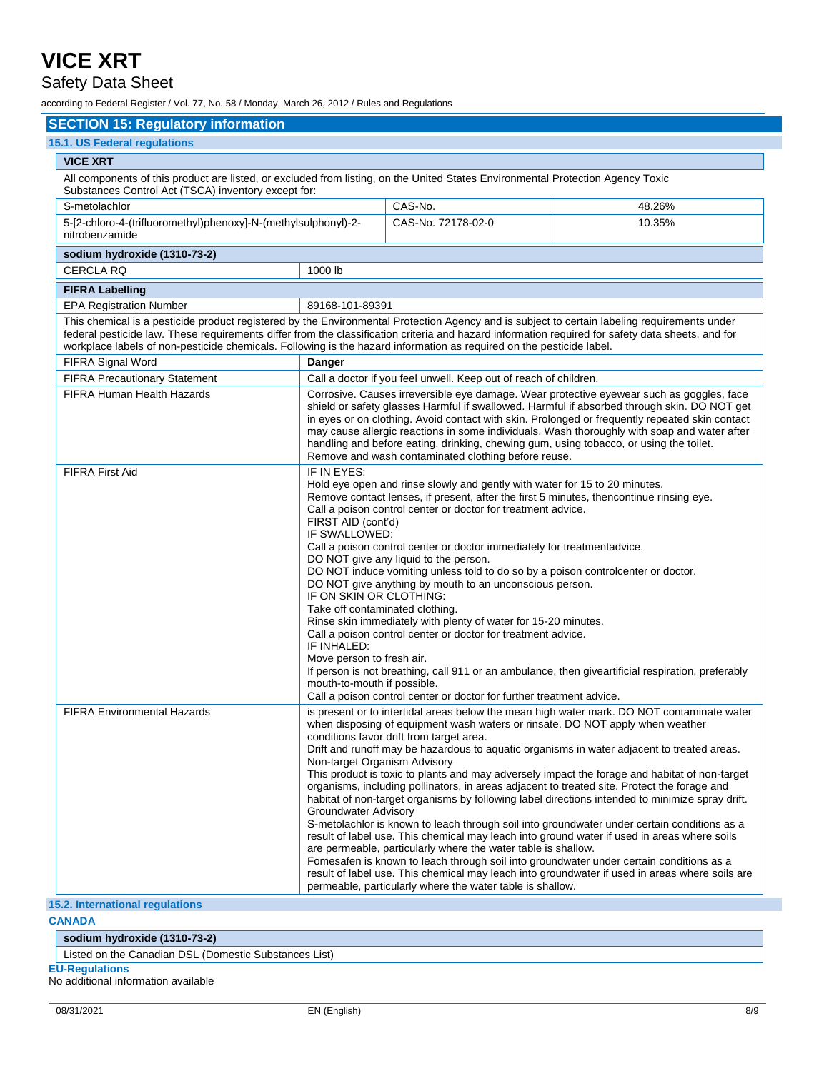### Safety Data Sheet

according to Federal Register / Vol. 77, No. 58 / Monday, March 26, 2012 / Rules and Regulations

### **SECTION 15: Regulatory information**

| 15.1. US Federal regulations                                                                                                                                                                                                                                                                                                                                                                                              |                                                      |                                                                                                                                                                                                                                                                                                                                                                                                                                                                                                                                                                                                                                                                                                                                                                                                                                                                                                                                                                                                         |                                                                                                                                                                                                                                                                                                                                                                                                                                                                                                                                                                                                                                                                                                                                                                                                                                                                                        |  |  |  |
|---------------------------------------------------------------------------------------------------------------------------------------------------------------------------------------------------------------------------------------------------------------------------------------------------------------------------------------------------------------------------------------------------------------------------|------------------------------------------------------|---------------------------------------------------------------------------------------------------------------------------------------------------------------------------------------------------------------------------------------------------------------------------------------------------------------------------------------------------------------------------------------------------------------------------------------------------------------------------------------------------------------------------------------------------------------------------------------------------------------------------------------------------------------------------------------------------------------------------------------------------------------------------------------------------------------------------------------------------------------------------------------------------------------------------------------------------------------------------------------------------------|----------------------------------------------------------------------------------------------------------------------------------------------------------------------------------------------------------------------------------------------------------------------------------------------------------------------------------------------------------------------------------------------------------------------------------------------------------------------------------------------------------------------------------------------------------------------------------------------------------------------------------------------------------------------------------------------------------------------------------------------------------------------------------------------------------------------------------------------------------------------------------------|--|--|--|
| <b>VICE XRT</b>                                                                                                                                                                                                                                                                                                                                                                                                           |                                                      |                                                                                                                                                                                                                                                                                                                                                                                                                                                                                                                                                                                                                                                                                                                                                                                                                                                                                                                                                                                                         |                                                                                                                                                                                                                                                                                                                                                                                                                                                                                                                                                                                                                                                                                                                                                                                                                                                                                        |  |  |  |
| All components of this product are listed, or excluded from listing, on the United States Environmental Protection Agency Toxic<br>Substances Control Act (TSCA) inventory except for:                                                                                                                                                                                                                                    |                                                      |                                                                                                                                                                                                                                                                                                                                                                                                                                                                                                                                                                                                                                                                                                                                                                                                                                                                                                                                                                                                         |                                                                                                                                                                                                                                                                                                                                                                                                                                                                                                                                                                                                                                                                                                                                                                                                                                                                                        |  |  |  |
| S-metolachlor                                                                                                                                                                                                                                                                                                                                                                                                             |                                                      | CAS-No.                                                                                                                                                                                                                                                                                                                                                                                                                                                                                                                                                                                                                                                                                                                                                                                                                                                                                                                                                                                                 | 48.26%                                                                                                                                                                                                                                                                                                                                                                                                                                                                                                                                                                                                                                                                                                                                                                                                                                                                                 |  |  |  |
| 5-[2-chloro-4-(trifluoromethyl)phenoxy]-N-(methylsulphonyl)-2-<br>nitrobenzamide                                                                                                                                                                                                                                                                                                                                          |                                                      | CAS-No. 72178-02-0                                                                                                                                                                                                                                                                                                                                                                                                                                                                                                                                                                                                                                                                                                                                                                                                                                                                                                                                                                                      | 10.35%                                                                                                                                                                                                                                                                                                                                                                                                                                                                                                                                                                                                                                                                                                                                                                                                                                                                                 |  |  |  |
| sodium hydroxide (1310-73-2)                                                                                                                                                                                                                                                                                                                                                                                              |                                                      |                                                                                                                                                                                                                                                                                                                                                                                                                                                                                                                                                                                                                                                                                                                                                                                                                                                                                                                                                                                                         |                                                                                                                                                                                                                                                                                                                                                                                                                                                                                                                                                                                                                                                                                                                                                                                                                                                                                        |  |  |  |
| 1000 lb<br><b>CERCLA RQ</b>                                                                                                                                                                                                                                                                                                                                                                                               |                                                      |                                                                                                                                                                                                                                                                                                                                                                                                                                                                                                                                                                                                                                                                                                                                                                                                                                                                                                                                                                                                         |                                                                                                                                                                                                                                                                                                                                                                                                                                                                                                                                                                                                                                                                                                                                                                                                                                                                                        |  |  |  |
| <b>FIFRA Labelling</b>                                                                                                                                                                                                                                                                                                                                                                                                    |                                                      |                                                                                                                                                                                                                                                                                                                                                                                                                                                                                                                                                                                                                                                                                                                                                                                                                                                                                                                                                                                                         |                                                                                                                                                                                                                                                                                                                                                                                                                                                                                                                                                                                                                                                                                                                                                                                                                                                                                        |  |  |  |
| <b>EPA Registration Number</b><br>89168-101-89391                                                                                                                                                                                                                                                                                                                                                                         |                                                      |                                                                                                                                                                                                                                                                                                                                                                                                                                                                                                                                                                                                                                                                                                                                                                                                                                                                                                                                                                                                         |                                                                                                                                                                                                                                                                                                                                                                                                                                                                                                                                                                                                                                                                                                                                                                                                                                                                                        |  |  |  |
| This chemical is a pesticide product registered by the Environmental Protection Agency and is subject to certain labeling requirements under<br>federal pesticide law. These requirements differ from the classification criteria and hazard information required for safety data sheets, and for<br>workplace labels of non-pesticide chemicals. Following is the hazard information as required on the pesticide label. |                                                      |                                                                                                                                                                                                                                                                                                                                                                                                                                                                                                                                                                                                                                                                                                                                                                                                                                                                                                                                                                                                         |                                                                                                                                                                                                                                                                                                                                                                                                                                                                                                                                                                                                                                                                                                                                                                                                                                                                                        |  |  |  |
| FIFRA Signal Word                                                                                                                                                                                                                                                                                                                                                                                                         | Danger                                               |                                                                                                                                                                                                                                                                                                                                                                                                                                                                                                                                                                                                                                                                                                                                                                                                                                                                                                                                                                                                         |                                                                                                                                                                                                                                                                                                                                                                                                                                                                                                                                                                                                                                                                                                                                                                                                                                                                                        |  |  |  |
| <b>FIFRA Precautionary Statement</b>                                                                                                                                                                                                                                                                                                                                                                                      |                                                      | Call a doctor if you feel unwell. Keep out of reach of children.                                                                                                                                                                                                                                                                                                                                                                                                                                                                                                                                                                                                                                                                                                                                                                                                                                                                                                                                        |                                                                                                                                                                                                                                                                                                                                                                                                                                                                                                                                                                                                                                                                                                                                                                                                                                                                                        |  |  |  |
| FIFRA Human Health Hazards                                                                                                                                                                                                                                                                                                                                                                                                |                                                      | Corrosive. Causes irreversible eye damage. Wear protective eyewear such as goggles, face<br>shield or safety glasses Harmful if swallowed. Harmful if absorbed through skin. DO NOT get<br>in eyes or on clothing. Avoid contact with skin. Prolonged or frequently repeated skin contact<br>may cause allergic reactions in some individuals. Wash thoroughly with soap and water after<br>handling and before eating, drinking, chewing gum, using tobacco, or using the toilet.<br>Remove and wash contaminated clothing before reuse.                                                                                                                                                                                                                                                                                                                                                                                                                                                               |                                                                                                                                                                                                                                                                                                                                                                                                                                                                                                                                                                                                                                                                                                                                                                                                                                                                                        |  |  |  |
| <b>FIFRA First Aid</b>                                                                                                                                                                                                                                                                                                                                                                                                    | IF INHALED:                                          | IF IN EYES:<br>Hold eye open and rinse slowly and gently with water for 15 to 20 minutes.<br>Remove contact lenses, if present, after the first 5 minutes, thencontinue rinsing eye.<br>Call a poison control center or doctor for treatment advice.<br>FIRST AID (cont'd)<br>IF SWALLOWED:<br>Call a poison control center or doctor immediately for treatmentadvice.<br>DO NOT give any liquid to the person.<br>DO NOT induce vomiting unless told to do so by a poison controlcenter or doctor.<br>DO NOT give anything by mouth to an unconscious person.<br>IF ON SKIN OR CLOTHING:<br>Take off contaminated clothing.<br>Rinse skin immediately with plenty of water for 15-20 minutes.<br>Call a poison control center or doctor for treatment advice.<br>Move person to fresh air.<br>If person is not breathing, call 911 or an ambulance, then giveartificial respiration, preferably<br>mouth-to-mouth if possible.<br>Call a poison control center or doctor for further treatment advice. |                                                                                                                                                                                                                                                                                                                                                                                                                                                                                                                                                                                                                                                                                                                                                                                                                                                                                        |  |  |  |
| <b>FIFRA Environmental Hazards</b>                                                                                                                                                                                                                                                                                                                                                                                        | Non-target Organism Advisory<br>Groundwater Advisory | when disposing of equipment wash waters or rinsate. DO NOT apply when weather<br>conditions favor drift from target area.<br>are permeable, particularly where the water table is shallow.<br>permeable, particularly where the water table is shallow.                                                                                                                                                                                                                                                                                                                                                                                                                                                                                                                                                                                                                                                                                                                                                 | is present or to intertidal areas below the mean high water mark. DO NOT contaminate water<br>Drift and runoff may be hazardous to aquatic organisms in water adjacent to treated areas.<br>This product is toxic to plants and may adversely impact the forage and habitat of non-target<br>organisms, including pollinators, in areas adjacent to treated site. Protect the forage and<br>habitat of non-target organisms by following label directions intended to minimize spray drift.<br>S-metolachlor is known to leach through soil into groundwater under certain conditions as a<br>result of label use. This chemical may leach into ground water if used in areas where soils<br>Fomesafen is known to leach through soil into groundwater under certain conditions as a<br>result of label use. This chemical may leach into groundwater if used in areas where soils are |  |  |  |

#### **15.2. International regulations**

**CANADA**

### **sodium hydroxide (1310-73-2)**

Listed on the Canadian DSL (Domestic Substances List)

**EU-Regulations**

No additional information available